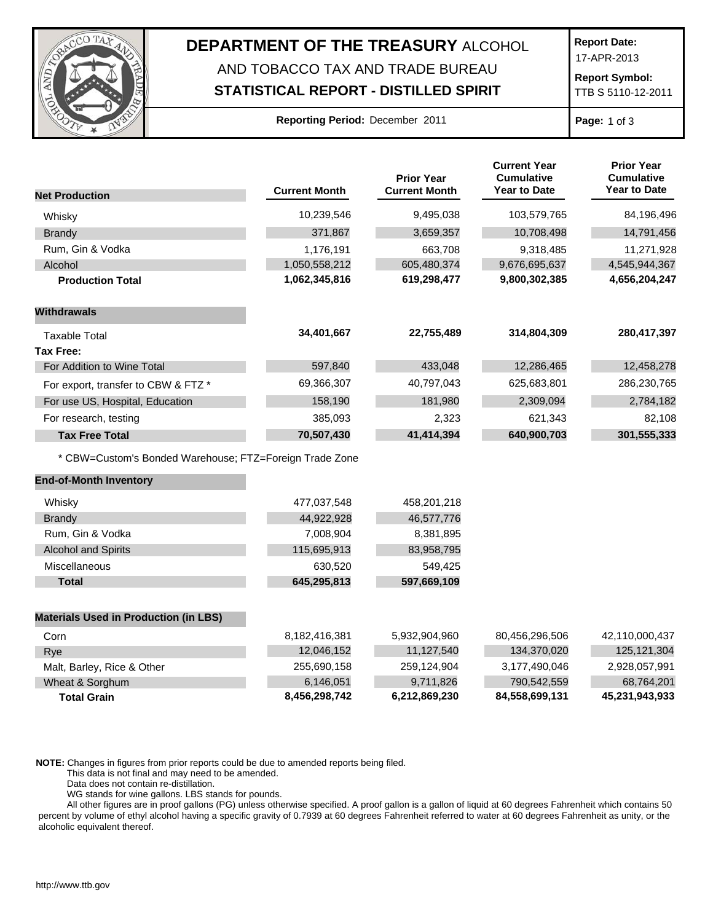

## **DEPARTMENT OF THE TREASURY** ALCOHOL AND TOBACCO TAX AND TRADE BUREAU

## **STATISTICAL REPORT - DISTILLED SPIRIT**

**Report Date:**

17-APR-2013

**Report Symbol:** TTB S 5110-12-2011

|  | Reporting Period: December 2011 |  |
|--|---------------------------------|--|
|  |                                 |  |

**Page:** 1 of 3

|                                                         |                      | <b>Prior Year</b>    | <b>Current Year</b><br><b>Cumulative</b> | <b>Prior Year</b><br><b>Cumulative</b> |
|---------------------------------------------------------|----------------------|----------------------|------------------------------------------|----------------------------------------|
| <b>Net Production</b>                                   | <b>Current Month</b> | <b>Current Month</b> | Year to Date                             | <b>Year to Date</b>                    |
| Whisky                                                  | 10,239,546           | 9,495,038            | 103,579,765                              | 84,196,496                             |
| <b>Brandy</b>                                           | 371,867              | 3,659,357            | 10,708,498                               | 14,791,456                             |
| Rum, Gin & Vodka                                        | 1,176,191            | 663,708              | 9,318,485                                | 11,271,928                             |
| Alcohol                                                 | 1,050,558,212        | 605,480,374          | 9,676,695,637                            | 4,545,944,367                          |
| <b>Production Total</b>                                 | 1,062,345,816        | 619,298,477          | 9,800,302,385                            | 4,656,204,247                          |
| <b>Withdrawals</b>                                      |                      |                      |                                          |                                        |
| <b>Taxable Total</b>                                    | 34,401,667           | 22,755,489           | 314,804,309                              | 280,417,397                            |
| <b>Tax Free:</b>                                        |                      |                      |                                          |                                        |
| For Addition to Wine Total                              | 597,840              | 433,048              | 12,286,465                               | 12,458,278                             |
| For export, transfer to CBW & FTZ *                     | 69,366,307           | 40,797,043           | 625,683,801                              | 286,230,765                            |
| For use US, Hospital, Education                         | 158,190              | 181,980              | 2,309,094                                | 2,784,182                              |
| For research, testing                                   | 385,093              | 2,323                | 621,343                                  | 82,108                                 |
| <b>Tax Free Total</b>                                   | 70,507,430           | 41,414,394           | 640,900,703                              | 301,555,333                            |
| * CBW=Custom's Bonded Warehouse; FTZ=Foreign Trade Zone |                      |                      |                                          |                                        |
| <b>End-of-Month Inventory</b>                           |                      |                      |                                          |                                        |
| Whisky                                                  | 477,037,548          | 458,201,218          |                                          |                                        |
| <b>Brandy</b>                                           | 44,922,928           | 46,577,776           |                                          |                                        |
| Rum, Gin & Vodka                                        | 7,008,904            | 8,381,895            |                                          |                                        |
| <b>Alcohol and Spirits</b>                              | 115,695,913          | 83,958,795           |                                          |                                        |
| Miscellaneous                                           | 630,520              | 549,425              |                                          |                                        |
| <b>Total</b>                                            | 645,295,813          | 597,669,109          |                                          |                                        |
| <b>Materials Used in Production (in LBS)</b>            |                      |                      |                                          |                                        |
| Corn                                                    | 8,182,416,381        | 5,932,904,960        | 80,456,296,506                           | 42,110,000,437                         |
| Rye                                                     | 12,046,152           | 11,127,540           | 134,370,020                              | 125, 121, 304                          |
| Malt, Barley, Rice & Other                              | 255,690,158          | 259,124,904          | 3,177,490,046                            | 2,928,057,991                          |
| Wheat & Sorghum                                         | 6,146,051            | 9,711,826            | 790,542,559                              | 68,764,201                             |
| <b>Total Grain</b>                                      | 8,456,298,742        | 6,212,869,230        | 84,558,699,131                           | 45,231,943,933                         |

**NOTE:** Changes in figures from prior reports could be due to amended reports being filed.

This data is not final and may need to be amended.

Data does not contain re-distillation.

WG stands for wine gallons. LBS stands for pounds.

All other figures are in proof gallons (PG) unless otherwise specified. A proof gallon is a gallon of liquid at 60 degrees Fahrenheit which contains 50 percent by volume of ethyl alcohol having a specific gravity of 0.7939 at 60 degrees Fahrenheit referred to water at 60 degrees Fahrenheit as unity, or the alcoholic equivalent thereof.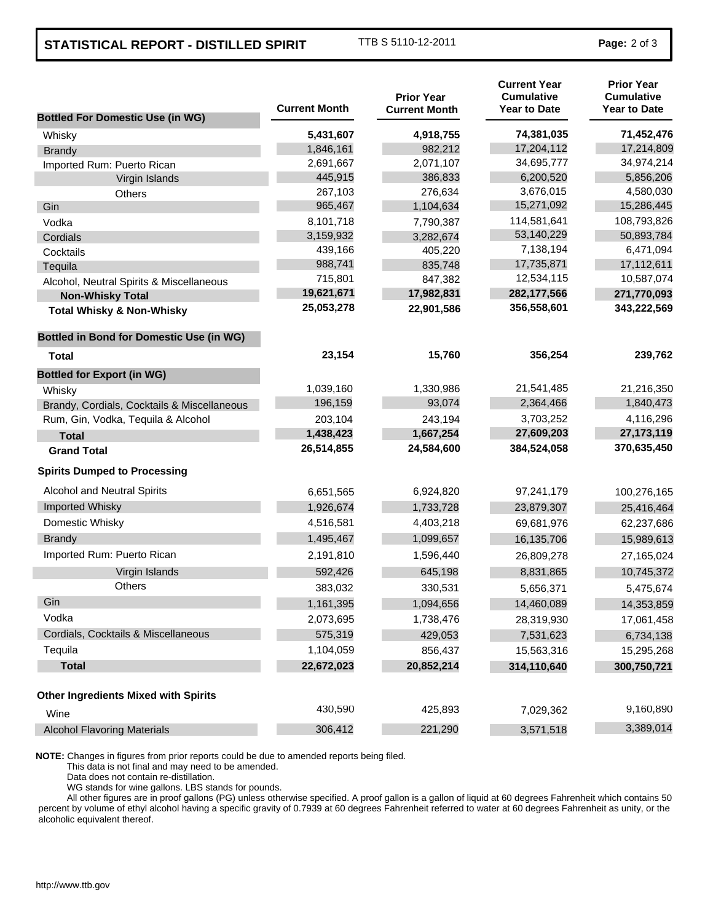## **STATISTICAL REPORT - DISTILLED SPIRIT** TTB S 5110-12-2011 **Page:** 2 of 3

| <b>Bottled For Domestic Use (in WG)</b>         | <b>Current Month</b> | <b>Prior Year</b><br><b>Current Month</b> | <b>Current Year</b><br><b>Cumulative</b><br><b>Year to Date</b> | <b>Prior Year</b><br><b>Cumulative</b><br><b>Year to Date</b> |
|-------------------------------------------------|----------------------|-------------------------------------------|-----------------------------------------------------------------|---------------------------------------------------------------|
| Whisky                                          | 5,431,607            | 4,918,755                                 | 74,381,035                                                      | 71,452,476                                                    |
| <b>Brandy</b>                                   | 1,846,161            | 982,212                                   | 17,204,112                                                      | 17,214,809                                                    |
| Imported Rum: Puerto Rican                      | 2,691,667            | 2,071,107                                 | 34,695,777                                                      | 34,974,214                                                    |
| Virgin Islands                                  | 445,915              | 386,833                                   | 6,200,520                                                       | 5,856,206                                                     |
| Others                                          | 267,103              | 276,634                                   | 3,676,015                                                       | 4,580,030                                                     |
| Gin                                             | 965,467              | 1,104,634                                 | 15,271,092                                                      | 15,286,445                                                    |
| Vodka                                           | 8,101,718            | 7,790,387                                 | 114,581,641                                                     | 108,793,826                                                   |
| Cordials                                        | 3,159,932            | 3,282,674                                 | 53,140,229                                                      | 50,893,784                                                    |
| Cocktails                                       | 439,166              | 405,220                                   | 7,138,194                                                       | 6,471,094                                                     |
| Tequila                                         | 988,741              | 835,748                                   | 17,735,871                                                      | 17,112,611                                                    |
| Alcohol, Neutral Spirits & Miscellaneous        | 715,801              | 847,382                                   | 12,534,115                                                      | 10,587,074                                                    |
| <b>Non-Whisky Total</b>                         | 19,621,671           | 17,982,831                                | 282,177,566                                                     | 271,770,093                                                   |
| <b>Total Whisky &amp; Non-Whisky</b>            | 25,053,278           | 22,901,586                                | 356,558,601                                                     | 343,222,569                                                   |
| <b>Bottled in Bond for Domestic Use (in WG)</b> |                      |                                           |                                                                 |                                                               |
| Total                                           | 23,154               | 15,760                                    | 356,254                                                         | 239,762                                                       |
| <b>Bottled for Export (in WG)</b>               |                      |                                           |                                                                 |                                                               |
| Whisky                                          | 1,039,160            | 1,330,986                                 | 21,541,485                                                      | 21,216,350                                                    |
| Brandy, Cordials, Cocktails & Miscellaneous     | 196,159              | 93,074                                    | 2,364,466                                                       | 1,840,473                                                     |
| Rum, Gin, Vodka, Tequila & Alcohol              | 203,104              | 243,194                                   | 3,703,252                                                       | 4,116,296                                                     |
| <b>Total</b>                                    | 1,438,423            | 1,667,254                                 | 27,609,203                                                      | 27, 173, 119                                                  |
| <b>Grand Total</b>                              | 26,514,855           | 24,584,600                                | 384,524,058                                                     | 370,635,450                                                   |
| <b>Spirits Dumped to Processing</b>             |                      |                                           |                                                                 |                                                               |
| Alcohol and Neutral Spirits                     | 6,651,565            | 6,924,820                                 | 97,241,179                                                      | 100,276,165                                                   |
| Imported Whisky                                 | 1,926,674            | 1,733,728                                 | 23,879,307                                                      | 25,416,464                                                    |
| Domestic Whisky                                 | 4,516,581            | 4,403,218                                 | 69,681,976                                                      | 62,237,686                                                    |
| <b>Brandy</b>                                   | 1,495,467            | 1,099,657                                 | 16,135,706                                                      | 15,989,613                                                    |
| Imported Rum: Puerto Rican                      | 2,191,810            | 1,596,440                                 | 26,809,278                                                      | 27,165,024                                                    |
| Virgin Islands                                  | 592,426              | 645,198                                   | 8,831,865                                                       | 10,745,372                                                    |
| <b>Others</b>                                   | 383,032              | 330,531                                   | 5,656,371                                                       | 5,475,674                                                     |
| Gin                                             | 1,161,395            | 1,094,656                                 | 14,460,089                                                      | 14,353,859                                                    |
| Vodka                                           | 2,073,695            | 1,738,476                                 | 28,319,930                                                      | 17,061,458                                                    |
| Cordials, Cocktails & Miscellaneous             | 575,319              | 429,053                                   | 7,531,623                                                       | 6,734,138                                                     |
| Tequila                                         | 1,104,059            | 856,437                                   | 15,563,316                                                      | 15,295,268                                                    |
| <b>Total</b>                                    | 22,672,023           | 20,852,214                                | 314,110,640                                                     | 300,750,721                                                   |
| <b>Other Ingredients Mixed with Spirits</b>     |                      |                                           |                                                                 |                                                               |
| Wine                                            | 430,590              | 425,893                                   | 7,029,362                                                       | 9,160,890                                                     |
| <b>Alcohol Flavoring Materials</b>              | 306,412              | 221,290                                   | 3,571,518                                                       | 3,389,014                                                     |

**NOTE:** Changes in figures from prior reports could be due to amended reports being filed.

This data is not final and may need to be amended.

Data does not contain re-distillation.

WG stands for wine gallons. LBS stands for pounds.

All other figures are in proof gallons (PG) unless otherwise specified. A proof gallon is a gallon of liquid at 60 degrees Fahrenheit which contains 50 percent by volume of ethyl alcohol having a specific gravity of 0.7939 at 60 degrees Fahrenheit referred to water at 60 degrees Fahrenheit as unity, or the alcoholic equivalent thereof.